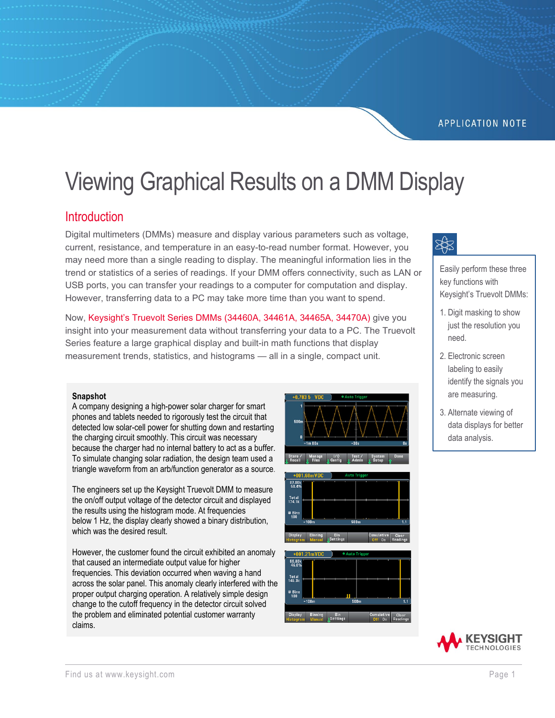#### **APPLICATION NOTE**

# Viewing Graphical Results on a DMM Display

#### **Introduction**

Digital multimeters (DMMs) measure and display various parameters such as voltage, current, resistance, and temperature in an easy-to-read number format. However, you may need more than a single reading to display. The meaningful information lies in the trend or statistics of a series of readings. If your DMM offers connectivity, such as LAN or USB ports, you can transfer your readings to a computer for computation and display. However, transferring data to a PC may take more time than you want to spend.

Now, [Keysight's Truevolt Series DMMs](https://www.keysight.com/us/en/products/digital-multimeters-dmm/truevolt-series-multimeters.html) (34460A, 34461A, 34465A, 34470A) give you insight into your measurement data without transferring your data to a PC. The Truevolt Series feature a large graphical display and built-in math functions that display measurement trends, statistics, and histograms — all in a single, compact unit.

#### **Snapshot**

A company designing a high-power solar charger for smart phones and tablets needed to rigorously test the circuit that detected low solar-cell power for shutting down and restarting the charging circuit smoothly. This circuit was necessary because the charger had no internal battery to act as a buffer. To simulate changing solar radiation, the design team used a triangle waveform from an arb/function generator as a source.

The engineers set up the Keysight Truevolt DMM to measure the on/off output voltage of the detector circuit and displayed the results using the histogram mode. At frequencies below 1 Hz, the display clearly showed a binary distribution, which was the desired result.

However, the customer found the circuit exhibited an anomaly that caused an intermediate output value for higher frequencies. This deviation occurred when waving a hand across the solar panel. This anomaly clearly interfered with the proper output charging operation. A relatively simple design change to the cutoff frequency in the detector circuit solved the problem and eliminated potential customer warranty claims.









Easily perform these three key functions with Keysight's Truevolt DMMs:

- 1. Digit masking to show just the resolution you need.
- 2. Electronic screen labeling to easily identify the signals you are measuring.
- 3. Alternate viewing of data displays for better data analysis.

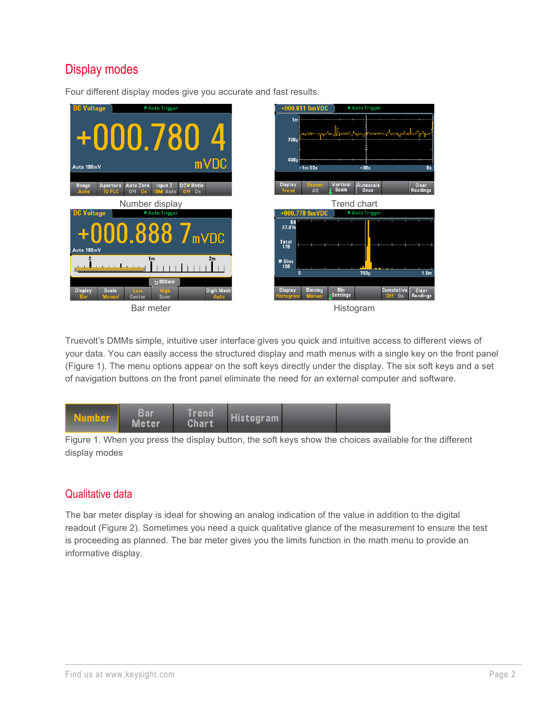# Display modes





Truevolt's DMMs simple, intuitive user interface gives you quick and intuitive access to different views of your data. You can easily access the structured display and math menus with a single key on the front panel (Figure 1). The menu options appear on the soft keys directly under the display. The six soft keys and a set of navigation buttons on the front panel eliminate the need for an external computer and software.



Figure 1. When you press the display button, the soft keys show the choices available for the different display modes

#### Qualitative data

The bar meter display is ideal for showing an analog indication of the value in addition to the digital readout (Figure 2). Sometimes you need a quick qualitative glance of the measurement to ensure the test is proceeding as planned. The bar meter gives you the limits function in the math menu to provide an informative display.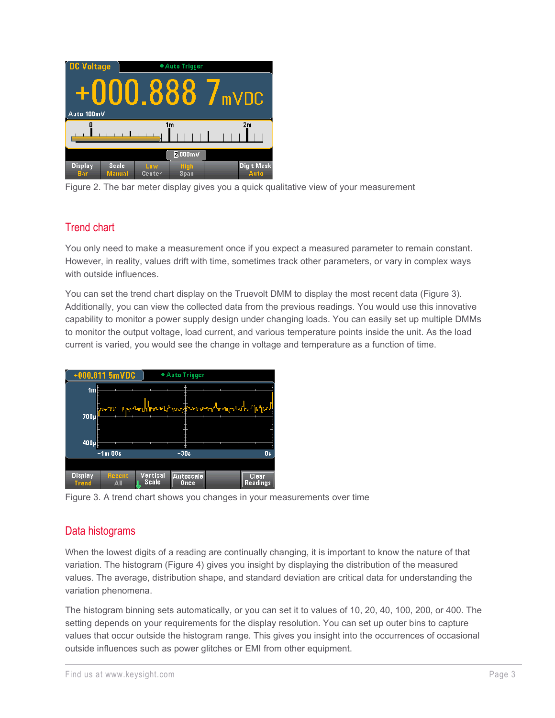

Figure 2. The bar meter display gives you a quick qualitative view of your measurement

## Trend chart

You only need to make a measurement once if you expect a measured parameter to remain constant. However, in reality, values drift with time, sometimes track other parameters, or vary in complex ways with outside influences.

You can set the trend chart display on the Truevolt DMM to display the most recent data (Figure 3). Additionally, you can view the collected data from the previous readings. You would use this innovative capability to monitor a power supply design under changing loads. You can easily set up multiple DMMs to monitor the output voltage, load current, and various temperature points inside the unit. As the load current is varied, you would see the change in voltage and temperature as a function of time.



Figure 3. A trend chart shows you changes in your measurements over time

#### Data histograms

When the lowest digits of a reading are continually changing, it is important to know the nature of that variation. The histogram (Figure 4) gives you insight by displaying the distribution of the measured values. The average, distribution shape, and standard deviation are critical data for understanding the variation phenomena.

The histogram binning sets automatically, or you can set it to values of 10, 20, 40, 100, 200, or 400. The setting depends on your requirements for the display resolution. You can set up outer bins to capture values that occur outside the histogram range. This gives you insight into the occurrences of occasional outside influences such as power glitches or EMI from other equipment.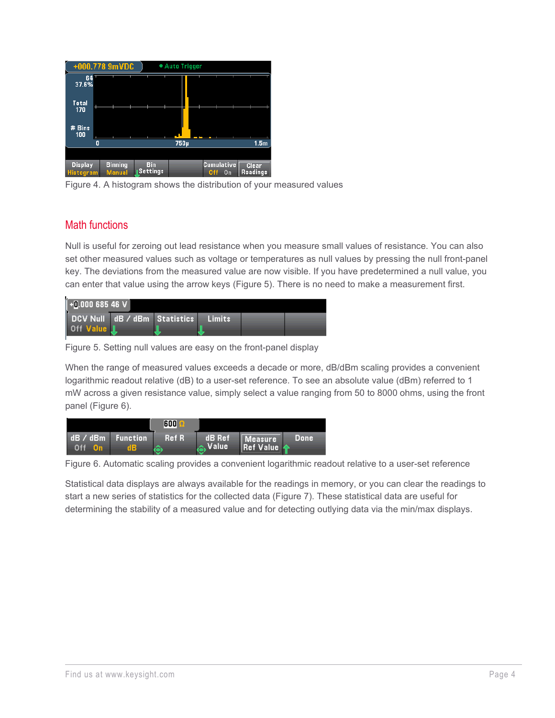| 7                                  | +000.778 9mVDC                  |                               | • Auto Trigger |     |                                                       |  |
|------------------------------------|---------------------------------|-------------------------------|----------------|-----|-------------------------------------------------------|--|
| 64<br>37.6%                        |                                 |                               |                |     |                                                       |  |
| <b>Total</b><br>170<br>T           |                                 |                               |                |     |                                                       |  |
| # Bins<br>100                      |                                 |                               |                |     |                                                       |  |
|                                    | n                               |                               | 750µ           |     | 1.5 <sub>m</sub>                                      |  |
|                                    |                                 |                               |                |     |                                                       |  |
| <b>Display</b><br><b>Histogram</b> | <b>Binning</b><br><b>Manual</b> | <b>Bin</b><br><b>Settings</b> |                | Off | <b>Cumulative</b><br><b>Clear</b><br>Readings<br>$_0$ |  |

Figure 4. A histogram shows the distribution of your measured values

#### Math functions

Null is useful for zeroing out lead resistance when you measure small values of resistance. You can also set other measured values such as voltage or temperatures as null values by pressing the null front-panel key. The deviations from the measured value are now visible. If you have predetermined a null value, you can enter that value using the arrow keys (Figure 5). There is no need to make a measurement first.



Figure 5. Setting null values are easy on the front-panel display

When the range of measured values exceeds a decade or more, dB/dBm scaling provides a convenient logarithmic readout relative (dB) to a user-set reference. To see an absolute value (dBm) referred to 1 mW across a given resistance value, simply select a value ranging from 50 to 8000 ohms, using the front panel (Figure 6).

|                              |                       | 600        |                 |                             |       |
|------------------------------|-----------------------|------------|-----------------|-----------------------------|-------|
| dB / dBm<br>Off<br><b>On</b> | <b>Function</b><br>16 | Ref R<br>æ | dB Ref<br>Value | Measure<br><b>Ref Value</b> | Done' |

Figure 6. Automatic scaling provides a convenient logarithmic readout relative to a user-set reference

Statistical data displays are always available for the readings in memory, or you can clear the readings to start a new series of statistics for the collected data (Figure 7). These statistical data are useful for determining the stability of a measured value and for detecting outlying data via the min/max displays.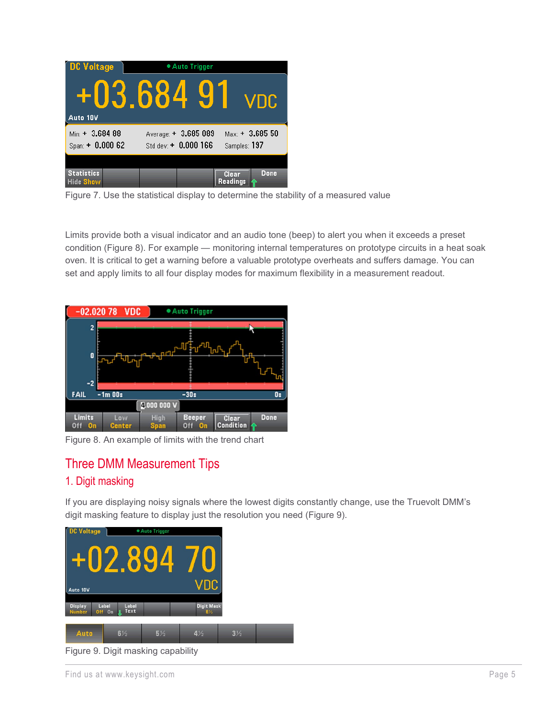| <b>DC Voltage</b>                     | • Auto Trigger                                |                                          |  |  |  |
|---------------------------------------|-----------------------------------------------|------------------------------------------|--|--|--|
| Auto 10V                              | +03.684                                       | -91<br>VDC.                              |  |  |  |
| $Min. + 3.684.88$<br>$Span + 0.00062$ | Average: + 3.685 089<br>Std dev: $+ 0.000166$ | $_{\rm{Max}}$ + 3.685 50<br>Samples: 197 |  |  |  |
| <b>Statistics</b>                     |                                               | Done                                     |  |  |  |
| <b>Hide Show</b>                      |                                               | <b>Clear</b><br><b>Readings</b>          |  |  |  |

Figure 7. Use the statistical display to determine the stability of a measured value

Limits provide both a visual indicator and an audio tone (beep) to alert you when it exceeds a preset condition (Figure 8). For example — monitoring internal temperatures on prototype circuits in a heat soak oven. It is critical to get a warning before a valuable prototype overheats and suffers damage. You can set and apply limits to all four display modes for maximum flexibility in a measurement readout.

| $-02.02078$                | <b>VDC</b>           |                     | • Auto Trigger             |                    |      |
|----------------------------|----------------------|---------------------|----------------------------|--------------------|------|
| $\overline{2}$             |                      |                     |                            |                    |      |
| 0<br>$-2$                  |                      | nМ                  |                            |                    |      |
| <b>FAIL</b>                | $-1m$ OOs            |                     | $-30s$                     |                    | Os   |
|                            |                      | 4.000000V           |                            |                    |      |
| <b>Limits</b><br>Off<br>0n | Low<br><b>Center</b> | <b>High</b><br>Span | <b>Beeper</b><br>Oπ<br>Off | Clear<br>Condition | Done |

Figure 8. An example of limits with the trend chart

## Three DMM Measurement Tips

#### 1. Digit masking

If you are displaying noisy signals where the lowest digits constantly change, use the Truevolt DMM's digit masking feature to display just the resolution you need (Figure 9).



Figure 9. Digit masking capability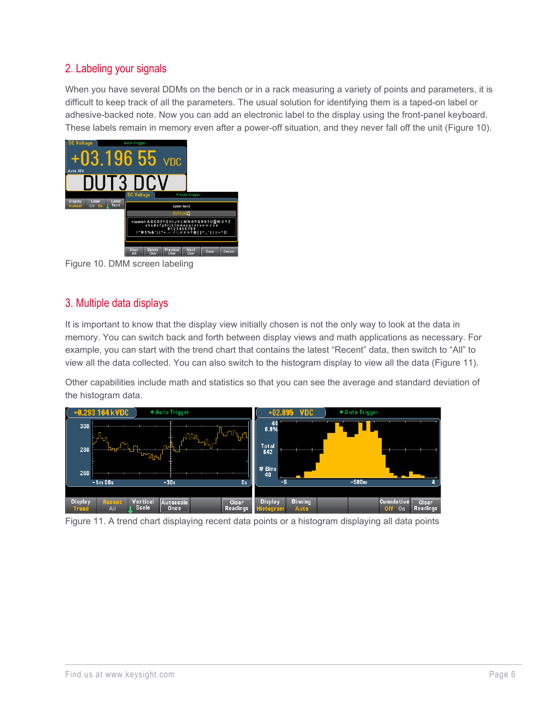#### 2. Labeling your signals

When you have several DDMs on the bench or in a rack measuring a variety of points and parameters, it is difficult to keep track of all the parameters. The usual solution for identifying them is a taped-on label or adhesive-backed note. Now you can add an electronic label to the display using the front-panel keyboard. These labels remain in memory even after a power-off situation, and they never fall off the unit (Figure 10).



Figure 10. DMM screen labeling

### 3. Multiple data displays

It is important to know that the display view initially chosen is not the only way to look at the data in memory. You can switch back and forth between display views and math applications as necessary. For example, you can start with the trend chart that contains the latest "Recent" data, then switch to "All" to view all the data collected. You can also switch to the histogram display to view all the data (Figure 11).

Other capabilities include math and statistics so that you can see the average and standard deviation of the histogram data.



Figure 11. A trend chart displaying recent data points or a histogram displaying all data points